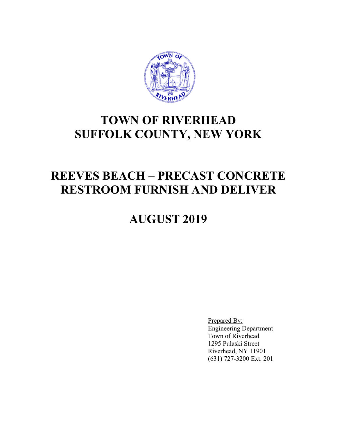

## **TOWN OF RIVERHEAD SUFFOLK COUNTY, NEW YORK**

## **REEVES BEACH – PRECAST CONCRETE RESTROOM FURNISH AND DELIVER**

# **AUGUST 2019**

Prepared By: Engineering Department Town of Riverhead 1295 Pulaski Street Riverhead, NY 11901 (631) 727-3200 Ext. 201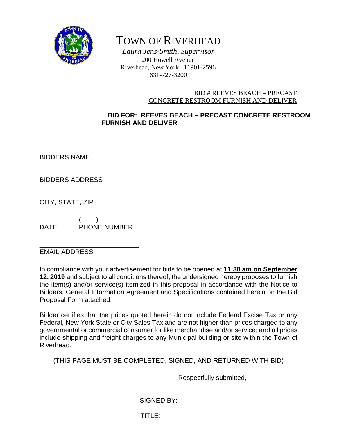

## TOWN OF RIVERHEAD

*Laura Jens-Smith, Supervisor* 200 Howell Avenue Riverhead, New York 11901-2596 631-727-3200

### BID # REEVES BEACH – PRECAST CONCRETE RESTROOM FURNISH AND DELIVER

## **BID FOR: REEVES BEACH – PRECAST CONCRETE RESTROOM FURNISH AND DELIVER**

BIDDERS NAME

BIDDERS ADDRESS

CITY, STATE, ZIP

 $($   $)$ DATE PHONE NUMBER

\_\_\_\_\_\_\_\_\_\_\_\_\_\_\_\_\_\_\_\_\_\_\_\_\_\_\_ EMAIL ADDRESS

In compliance with your advertisement for bids to be opened at **11:30 am on September 12, 2019** and subject to all conditions thereof, the undersigned hereby proposes to furnish the item(s) and/or service(s) itemized in this proposal in accordance with the Notice to Bidders, General Information Agreement and Specifications contained herein on the Bid Proposal Form attached.

Bidder certifies that the prices quoted herein do not include Federal Excise Tax or any Federal, New York State or City Sales Tax and are not higher than prices charged to any governmental or commercial consumer for like merchandise and/or service; and all prices include shipping and freight charges to any Municipal building or site within the Town of Riverhead.

## (THIS PAGE MUST BE COMPLETED, SIGNED, AND RETURNED WITH BID)

Respectfully submitted,

SIGNED BY:

TITLE: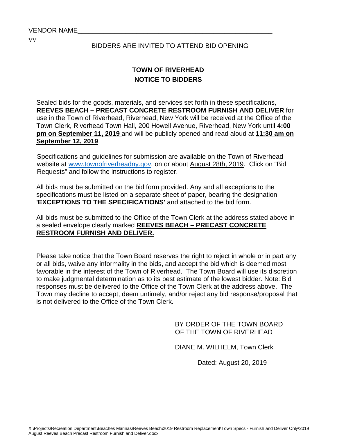## BIDDERS ARE INVITED TO ATTEND BID OPENING

## **TOWN OF RIVERHEAD NOTICE TO BIDDERS**

Sealed bids for the goods, materials, and services set forth in these specifications, **REEVES BEACH – PRECAST CONCRETE RESTROOM FURNISH AND DELIVER** for use in the Town of Riverhead, Riverhead, New York will be received at the Office of the Town Clerk, Riverhead Town Hall, 200 Howell Avenue, Riverhead, New York until **4:00 pm on September 11, 2019** and will be publicly opened and read aloud at **11:30 am on September 12, 2019**.

Specifications and guidelines for submission are available on the Town of Riverhead website at [www.townofriverheadny.gov.](http://www.townofriverheadny.gov/) on or about August 28th, 2019. Click on "Bid Requests" and follow the instructions to register.

All bids must be submitted on the bid form provided. Any and all exceptions to the specifications must be listed on a separate sheet of paper, bearing the designation **'EXCEPTIONS TO THE SPECIFICATIONS'** and attached to the bid form.

All bids must be submitted to the Office of the Town Clerk at the address stated above in a sealed envelope clearly marked **REEVES BEACH – PRECAST CONCRETE RESTROOM FURNISH AND DELIVER.**

Please take notice that the Town Board reserves the right to reject in whole or in part any or all bids, waive any informality in the bids, and accept the bid which is deemed most favorable in the interest of the Town of Riverhead. The Town Board will use its discretion to make judgmental determination as to its best estimate of the lowest bidder. Note: Bid responses must be delivered to the Office of the Town Clerk at the address above. The Town may decline to accept, deem untimely, and/or reject any bid response/proposal that is not delivered to the Office of the Town Clerk.

> BY ORDER OF THE TOWN BOARD OF THE TOWN OF RIVERHEAD

DIANE M. WILHELM, Town Clerk

Dated: August 20, 2019

X:\Projects\Recreation Department\Beaches Marinas\Reeves Beach\2019 Restroom Replacement\Town Specs - Furnish and Deliver Only\2019 August Reeves Beach Precast Restroom Furnish and Deliver.docx

VV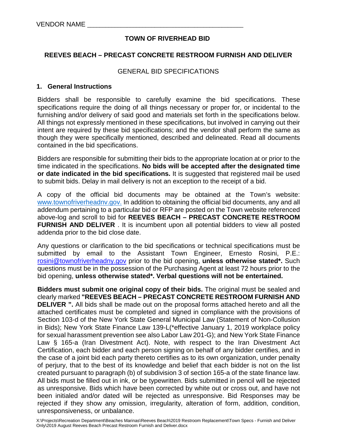## **TOWN OF RIVERHEAD BID**

## **REEVES BEACH – PRECAST CONCRETE RESTROOM FURNISH AND DELIVER**

### GENERAL BID SPECIFICATIONS

### **1. General Instructions**

Bidders shall be responsible to carefully examine the bid specifications. These specifications require the doing of all things necessary or proper for, or incidental to the furnishing and/or delivery of said good and materials set forth in the specifications below. All things not expressly mentioned in these specifications, but involved in carrying out their intent are required by these bid specifications; and the vendor shall perform the same as though they were specifically mentioned, described and delineated. Read all documents contained in the bid specifications.

Bidders are responsible for submitting their bids to the appropriate location at or prior to the time indicated in the specifications. **No bids will be accepted after the designated time or date indicated in the bid specifications.** It is suggested that registered mail be used to submit bids. Delay in mail delivery is not an exception to the receipt of a bid.

A copy of the official bid documents may be obtained at the Town's website: [www.townofriverheadnv.gov.](http://www.townofriverheadnv.gov/) In addition to obtaining the official bid documents, any and all addendum pertaining to a particular bid or RFP are posted on the Town website referenced above-log and scroll to bid for **REEVES BEACH – PRECAST CONCRETE RESTROOM FURNISH AND DELIVER** . It is incumbent upon all potential bidders to view all posted addenda prior to the bid close date.

Any questions or clarification to the bid specifications or technical specifications must be submitted by email to the Assistant Town Engineer, Ernesto Rosini, P.E.: [rosini@townofriverheadny.gov](mailto:rosini@townofriverheadny.gov) prior to the bid opening, **unless otherwise stated\*.** Such questions must be in the possession of the Purchasing Agent at least 72 hours prior to the bid opening, **unless otherwise stated\*. Verbal questions will not be entertained.** 

**Bidders must submit one original copy of their bids.** The original must be sealed and clearly marked **"REEVES BEACH – PRECAST CONCRETE RESTROOM FURNISH AND DELIVER ".** All bids shall be made out on the proposal forms attached hereto and all the attached certificates must be completed and signed in compliance with the provisions of Section 103-d of the New York State General Municipal Law (Statement of Non-Collusion in Bids); New York State Finance Law 139-L(\*effective January 1, 2019 workplace policy for sexual harassment prevention see also Labor Law 201-G); and New York State Finance Law § 165-a (Iran Divestment Act). Note, with respect to the Iran Divestment Act Certification, each bidder and each person signing on behalf of any bidder certifies, and in the case of a joint bid each party thereto certifies as to its own organization, under penalty of perjury, that to the best of its knowledge and belief that each bidder is not on the list created pursuant to paragraph (b) of subdivision 3 of section 165-a of the state finance law. All bids must be filled out in ink, or be typewritten. Bids submitted in pencil will be rejected as unresponsive. Bids which have been corrected by white out or cross out, and have not been initialed and/or dated will be rejected as unresponsive. Bid Responses may be rejected if they show any omission, irregularity, alteration of form, addition, condition, unresponsiveness, or unbalance.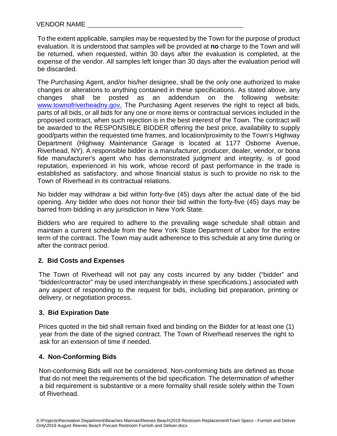To the extent applicable, samples may be requested by the Town for the purpose of product evaluation. It is understood that samples will be provided at **no** charge to the Town and will be returned, when requested, within 30 days after the evaluation is completed, at the expense of the vendor. All samples left longer than 30 days after the evaluation period will be discarded.

The Purchasing Agent, and/or his/her designee, shall be the only one authorized to make changes or alterations to anything contained in these specifications. As stated above, any changes shall be posted as an addendum on the following website: changes shall be posted as an addendum on the following website: [www.townofriverheadny.gov.](http://www.townofriverheadny.gov/) The Purchasing Agent reserves the right to reject all bids, parts of all bids, or all bids for any one or more items or contractual services included in the proposed contract, when such rejection is in the best interest of the Town. The contract will be awarded to the RESPONSIBLE BIDDER offering the best price, availability to supply good/parts within the requested time frames, and location/proximity to the Town's Highway Department (Highway Maintenance Garage is located at 1177 Osborne Avenue, Riverhead, NY). A responsible bidder is a manufacturer, producer, dealer, vendor, or bona fide manufacturer's agent who has demonstrated judgment and integrity, is of good reputation, experienced in his work, whose record of past performance in the trade is established as satisfactory, and whose financial status is such to provide no risk to the Town of Riverhead in its contractual relations.

No bidder may withdraw a bid within forty-five (45) days after the actual date of the bid opening. Any bidder who does not honor their bid within the forty-five (45) days may be barred from bidding in any jurisdiction in New York State.

Bidders who are required to adhere to the prevailing wage schedule shall obtain and maintain a current schedule from the New York State Department of Labor for the entire term of the contract. The Town may audit adherence to this schedule at any time during or after the contract period.

## **2. Bid Costs and Expenses**

 The Town of Riverhead will not pay any costs incurred by any bidder ("bidder" and "bidder/contractor" may be used interchangeably in these specifications.) associated with any aspect of responding to the request for bids, including bid preparation, printing or delivery, or negotiation process.

## **3. Bid Expiration Date**

Prices quoted in the bid shall remain fixed and binding on the Bidder for at least one (1) year from the date of the signed contract. The Town of Riverhead reserves the right to ask for an extension of time if needed.

## **4. Non-Conforming Bids**

Non-conforming Bids will not be considered. Non-conforming bids are defined as those that do not meet the requirements of the bid specification. The determination of whether a bid requirement is substantive or a mere formality shall reside solely within the Town of Riverhead.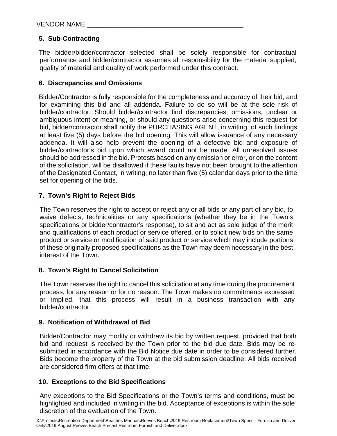## **5. Sub-Contracting**

The bidder/bidder/contractor selected shall be solely responsible for contractual performance and bidder/contractor assumes all responsibility for the material supplied, quality of material and quality of work performed under this contract.

## **6. Discrepancies and Omissions**

Bidder/Contractor is fully responsible for the completeness and accuracy of their bid, and for examining this bid and all addenda. Failure to do so will be at the sole risk of bidder/contractor. Should bidder/contractor find discrepancies, omissions, unclear or ambiguous intent or meaning, or should any questions arise concerning this request for bid, bidder/contractor shall notify the PURCHASING AGENT, in writing, of such findings at least five (5) days before the bid opening. This will allow issuance of any necessary addenda. It will also help prevent the opening of a defective bid and exposure of bidder/contractor's bid upon which award could not be made. All unresolved issues should be addressed in the bid. Protests based on any omission or error, or on the content of the solicitation, will be disallowed if these faults have not been brought to the attention of the Designated Contact, in writing, no later than five (5) calendar days prior to the time set for opening of the bids.

## **7. Town's Right to Reject Bids**

The Town reserves the right to accept or reject any or all bids or any part of any bid, to waive defects, technicalities or any specifications (whether they be in the Town's specifications or bidder/contractor's response), to sit and act as sole judge of the merit and qualifications of each product or service offered, or to solicit new bids on the same product or service or modification of said product or service which may include portions of these originally proposed specifications as the Town may deem necessary in the best interest of the Town.

## **8. Town's Right to Cancel Solicitation**

The Town reserves the right to cancel this solicitation at any time during the procurement process, for any reason or for no reason. The Town makes no commitments expressed or implied, that this process will result in a business transaction with any bidder/contractor.

## **9. Notification of Withdrawal of Bid**

Bidder/Contractor may modify or withdraw its bid by written request, provided that both bid and request is received by the Town prior to the bid due date. Bids may be resubmitted in accordance with the Bid Notice due date in order to be considered further. Bids become the property of the Town at the bid submission deadline. All bids received are considered firm offers at that time.

## **10. Exceptions to the Bid Specifications**

Any exceptions to the Bid Specifications or the Town's terms and conditions, must be highlighted and included in writing in the bid. Acceptance of exceptions is within the sole discretion of the evaluation of the Town.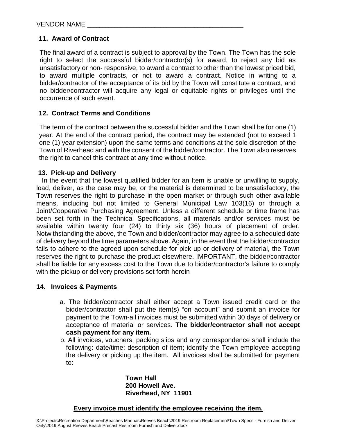## **11. Award of Contract**

The final award of a contract is subject to approval by the Town. The Town has the sole right to select the successful bidder/contractor(s) for award, to reject any bid as unsatisfactory or non- responsive, to award a contract to other than the lowest priced bid, to award multiple contracts, or not to award a contract. Notice in writing to a bidder/contractor of the acceptance of its bid by the Town will constitute a contract, and no bidder/contractor will acquire any legal or equitable rights or privileges until the occurrence of such event.

## **12. Contract Terms and Conditions**

The term of the contract between the successful bidder and the Town shall be for one (1) year. At the end of the contract period, the contract may be extended (not to exceed 1 one (1) year extension) upon the same terms and conditions at the sole discretion of the Town of Riverhead and with the consent of the bidder/contractor. The Town also reserves the right to cancel this contract at any time without notice.

## **13. Pick-up and Delivery**

In the event that the lowest qualified bidder for an Item is unable or unwilling to supply, load, deliver, as the case may be, or the material is determined to be unsatisfactory, the Town reserves the right to purchase in the open market or through such other available means, including but not limited to General Municipal Law 103(16) or through a Joint/Cooperative Purchasing Agreement. Unless a different schedule or time frame has been set forth in the Technical Specifications, all materials and/or services must be available within twenty four (24) to thirty six (36) hours of placement of order. Notwithstanding the above, the Town and bidder/contractor may agree to a scheduled date of delivery beyond the time parameters above. Again, in the event that the bidder/contractor fails to adhere to the agreed upon schedule for pick up or delivery of material, the Town reserves the right to purchase the product elsewhere. IMPORTANT, the bidder/contractor shall be liable for any excess cost to the Town due to bidder/contractor's failure to comply with the pickup or delivery provisions set forth herein

## **14. Invoices & Payments**

- a. The bidder/contractor shall either accept a Town issued credit card or the bidder/contractor shall put the item(s) "on account" and submit an invoice for payment to the Town-all invoices must be submitted within 30 days of delivery or acceptance of material or services. **The bidder/contractor shall not accept cash payment for any item.**
- b. All invoices, vouchers, packing slips and any correspondence shall include the following: date/time; description of item; identify the Town employee accepting the delivery or picking up the item. All invoices shall be submitted for payment to:

**Town Hall 200 Howell Ave. Riverhead, NY 11901**

#### **Every invoice must identify the employee receiving the item.**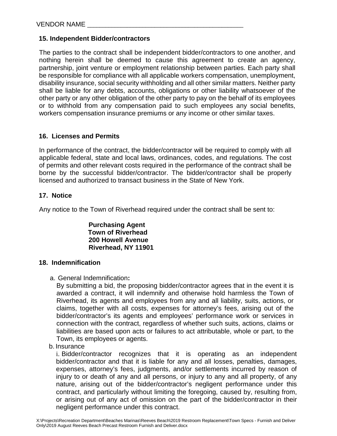## **15. Independent Bidder/contractors**

The parties to the contract shall be independent bidder/contractors to one another, and nothing herein shall be deemed to cause this agreement to create an agency, partnership, joint venture or employment relationship between parties. Each party shall be responsible for compliance with all applicable workers compensation, unemployment, disability insurance, social security withholding and all other similar matters. Neither party shall be liable for any debts, accounts, obligations or other liability whatsoever of the other party or any other obligation of the other party to pay on the behalf of its employees or to withhold from any compensation paid to such employees any social benefits, workers compensation insurance premiums or any income or other similar taxes.

## **16. Licenses and Permits**

In performance of the contract, the bidder/contractor will be required to comply with all applicable federal, state and local laws, ordinances, codes, and regulations. The cost of permits and other relevant costs required in the performance of the contract shall be borne by the successful bidder/contractor. The bidder/contractor shall be properly licensed and authorized to transact business in the State of New York.

## **17. Notice**

Any notice to the Town of Riverhead required under the contract shall be sent to:

**Purchasing Agent Town of Riverhead 200 Howell Avenue Riverhead, NY 11901**

## **18. Indemnification**

a. General Indemnification**:**

By submitting a bid, the proposing bidder/contractor agrees that in the event it is awarded a contract, it will indemnify and otherwise hold harmless the Town of Riverhead, its agents and employees from any and all liability, suits, actions, or claims, together with all costs, expenses for attorney's fees, arising out of the bidder/contractor's its agents and employees' performance work or services in connection with the contract, regardless of whether such suits, actions, claims or liabilities are based upon acts or failures to act attributable, whole or part, to the Town, its employees or agents.

b. Insurance

i. Bidder/contractor recognizes that it is operating as an independent bidder/contractor and that it is liable for any and all losses, penalties, damages, expenses, attorney's fees, judgments, and/or settlements incurred by reason of injury to or death of any and all persons, or injury to any and all property, of any nature, arising out of the bidder/contractor's negligent performance under this contract, and particularly without limiting the foregoing, caused by, resulting from, or arising out of any act of omission on the part of the bidder/contractor in their negligent performance under this contract.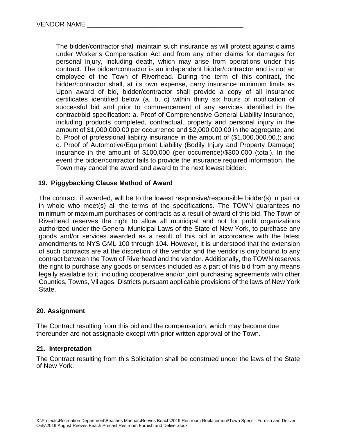The bidder/contractor shall maintain such insurance as will protect against claims under Worker's Compensation Act and from any other claims for damages for personal injury, including death, which may arise from operations under this contract. The bidder/contractor is an independent bidder/contractor and is not an employee of the Town of Riverhead. During the term of this contract, the bidder/contractor shall, at its own expense, carry insurance minimum limits as Upon award of bid, bidder/contractor shall provide a copy of all insurance certificates identified below (a, b, c) within thirty six hours of notification of successful bid and prior to commencement of any services identified in the contract/bid specification: a. Proof of Comprehensive General Liability Insurance, including products completed, contractual, property and personal injury in the amount of \$1,000,000.00 per occurrence and \$2,000,000.00 in the aggregate; and b. Proof of professional liability insurance in the amount of (\$1,000,000.00.); and c. Proof of Automotive/Equipment Liability (Bodily Injury and Property Damage) insurance in the amount of \$100,000 (per occurrence)/\$300,000 (total). In the event the bidder/contractor fails to provide the insurance required information, the Town may cancel the award and award to the next lowest bidder.

## **19. Piggybacking Clause Method of Award**

The contract, if awarded, will be to the lowest responsive/responsible bidder(s) in part or in whole who meet(s) all the terms of the specifications. The TOWN guarantees no minimum or maximum purchases or contracts as a result of award of this bid. The Town of Riverhead reserves the right to allow all municipal and not for profit organizations authorized under the General Municipal Laws of the State of New York, to purchase any goods and/or services awarded as a result of this bid in accordance with the latest amendments to NYS GML 100 through 104. However, it is understood that the extension of such contracts are at the discretion of the vendor and the vendor is only bound to any contract between the Town of Riverhead and the vendor. Additionally, the TOWN reserves the right to purchase any goods or services included as a part of this bid from any means legally available to it, including cooperative and/or joint purchasing agreements with other Counties, Towns, Villages, Districts pursuant applicable provisions of the laws of New York State.

#### **20. Assignment**

The Contract resulting from this bid and the compensation, which may become due thereunder are not assignable except with prior written approval of the Town.

#### **21. Interpretation**

The Contract resulting from this Solicitation shall be construed under the laws of the State of New York.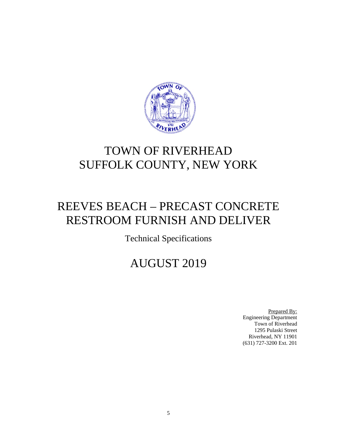

## TOWN OF RIVERHEAD SUFFOLK COUNTY, NEW YORK

## REEVES BEACH – PRECAST CONCRETE RESTROOM FURNISH AND DELIVER

Technical Specifications

## AUGUST 2019

Prepared By: Engineering Department Town of Riverhead 1295 Pulaski Street Riverhead, NY 11901 (631) 727-3200 Ext. 201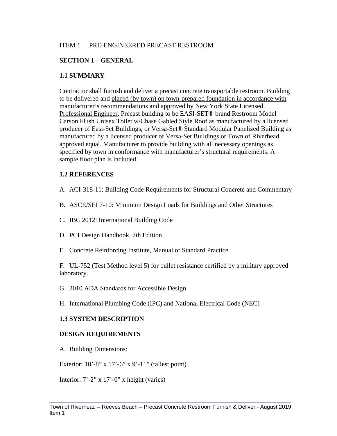## ITEM 1 PRE-ENGINEERED PRECAST RESTROOM

## **SECTION 1 – GENERAL**

## **1.1 SUMMARY**

Contractor shall furnish and deliver a precast concrete transportable restroom. Building to be delivered and placed (by town) on town-prepared foundation in accordance with manufacturer's recommendations and approved by New York State Licensed Professional Engineer. Precast building to be EASI-SET® brand Restroom Model Carson Flush Unisex Toilet w/Chase Gabled Style Roof as manufactured by a licensed producer of Easi-Set Buildings, or Versa-Set® Standard Modular Panelized Building as manufactured by a licensed producer of Versa-Set Buildings or Town of Riverhead approved equal. Manufacturer to provide building with all necessary openings as specified by town in conformance with manufacturer's structural requirements. A sample floor plan is included.

## **1.2 REFERENCES**

- A. ACI-318-11: Building Code Requirements for Structural Concrete and Commentary
- B. ASCE/SEI 7-10: Minimum Design Loads for Buildings and Other Structures
- C. IBC 2012: International Building Code
- D. PCI Design Handbook, 7th Edition
- E. Concrete Reinforcing Institute, Manual of Standard Practice

F. UL-752 (Test Method level 5) for bullet resistance certified by a military approved laboratory.

- G. 2010 ADA Standards for Accessible Design
- H. International Plumbing Code (IPC) and National Electrical Code (NEC)

## **1.3 SYSTEM DESCRIPTION**

#### **DESIGN REQUIREMENTS**

A. Building Dimensions:

Exterior: 10'-8" x 17'-6" x 9'-11" (tallest point)

Interior: 7'-2" x 17'-0" x height (varies)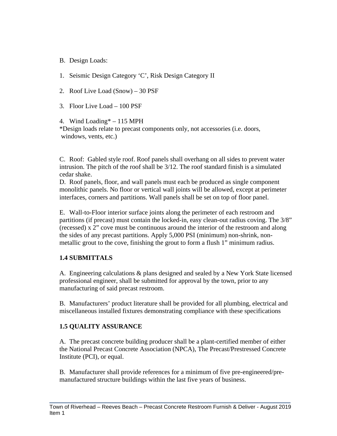- B. Design Loads:
- 1. Seismic Design Category 'C', Risk Design Category II
- 2. Roof Live Load (Snow) 30 PSF
- 3. Floor Live Load 100 PSF

4. Wind Loading\* – 115 MPH \*Design loads relate to precast components only, not accessories (i.e. doors, windows, vents, etc.)

C. Roof: Gabled style roof. Roof panels shall overhang on all sides to prevent water intrusion. The pitch of the roof shall be 3/12. The roof standard finish is a simulated cedar shake.

D. Roof panels, floor, and wall panels must each be produced as single component monolithic panels. No floor or vertical wall joints will be allowed, except at perimeter interfaces, corners and partitions. Wall panels shall be set on top of floor panel.

E. Wall-to-Floor interior surface joints along the perimeter of each restroom and partitions (if precast) must contain the locked-in, easy clean-out radius coving. The 3/8" (recessed) x 2" cove must be continuous around the interior of the restroom and along the sides of any precast partitions. Apply 5,000 PSI (minimum) non-shrink, nonmetallic grout to the cove, finishing the grout to form a flush 1" minimum radius.

## **1.4 SUBMITTALS**

A. Engineering calculations & plans designed and sealed by a New York State licensed professional engineer, shall be submitted for approval by the town, prior to any manufacturing of said precast restroom.

B. Manufacturers' product literature shall be provided for all plumbing, electrical and miscellaneous installed fixtures demonstrating compliance with these specifications

## **1.5 QUALITY ASSURANCE**

A. The precast concrete building producer shall be a plant-certified member of either the National Precast Concrete Association (NPCA), The Precast/Prestressed Concrete Institute (PCI), or equal.

B. Manufacturer shall provide references for a minimum of five pre-engineered/premanufactured structure buildings within the last five years of business.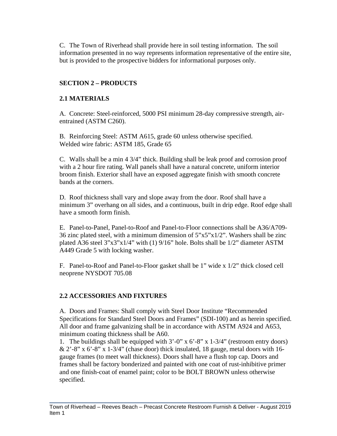C. The Town of Riverhead shall provide here in soil testing information. The soil information presented in no way represents information representative of the entire site, but is provided to the prospective bidders for informational purposes only.

## **SECTION 2 – PRODUCTS**

## **2.1 MATERIALS**

A. Concrete: Steel-reinforced, 5000 PSI minimum 28-day compressive strength, airentrained (ASTM C260).

B. Reinforcing Steel: ASTM A615, grade 60 unless otherwise specified. Welded wire fabric: ASTM 185, Grade 65

C. Walls shall be a min 4 3/4" thick. Building shall be leak proof and corrosion proof with a 2 hour fire rating. Wall panels shall have a natural concrete, uniform interior broom finish. Exterior shall have an exposed aggregate finish with smooth concrete bands at the corners.

D. Roof thickness shall vary and slope away from the door. Roof shall have a minimum 3" overhang on all sides, and a continuous, built in drip edge. Roof edge shall have a smooth form finish.

E. Panel-to-Panel, Panel-to-Roof and Panel-to-Floor connections shall be A36/A709- 36 zinc plated steel, with a minimum dimension of 5"x5"x1/2". Washers shall be zinc plated A36 steel 3"x3"x1/4" with (1) 9/16" hole. Bolts shall be 1/2" diameter ASTM A449 Grade 5 with locking washer.

F. Panel-to-Roof and Panel-to-Floor gasket shall be 1" wide x 1/2" thick closed cell neoprene NYSDOT 705.08

## **2.2 ACCESSORIES AND FIXTURES**

A. Doors and Frames: Shall comply with Steel Door Institute "Recommended Specifications for Standard Steel Doors and Frames" (SDI-100) and as herein specified. All door and frame galvanizing shall be in accordance with ASTM A924 and A653, minimum coating thickness shall be A60.

1. The buildings shall be equipped with 3'-0" x 6'-8" x 1-3/4" (restroom entry doors)  $\& 2'$ -8" x 6'-8" x 1-3/4" (chase door) thick insulated, 18 gauge, metal doors with 16gauge frames (to meet wall thickness). Doors shall have a flush top cap. Doors and frames shall be factory bonderized and painted with one coat of rust-inhibitive primer and one finish-coat of enamel paint; color to be BOLT BROWN unless otherwise specified.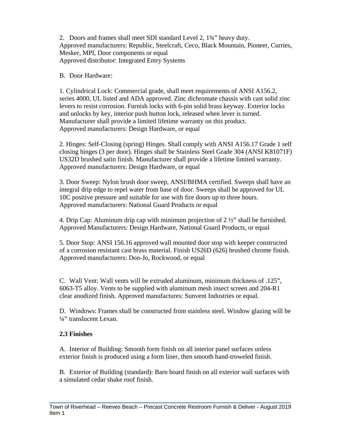2. Doors and frames shall meet SDI standard Level 2, 1¾" heavy duty. Approved manufacturers: Republic, Steelcraft, Ceco, Black Mountain, Pioneer, Curries, Mesker, MPI, Door components or equal Approved distributor: Integrated Entry Systems

B. Door Hardware:

1. Cylindrical Lock: Commercial grade, shall meet requirements of ANSI A156.2, series 4000, UL listed and ADA approved. Zinc dichromate chassis with cast solid zinc levers to resist corrosion. Furnish locks with 6-pin solid brass keyway. Exterior locks and unlocks by key, interior push button lock, released when lever is turned. Manufacturer shall provide a limited lifetime warranty on this product. Approved manufacturers: Design Hardware, or equal

2. Hinges: Self-Closing (spring) Hinges. Shall comply with ANSI A156.17 Grade 1 self closing hinges (3 per door). Hinges shall be Stainless Steel Grade 304 (ANSI K81071F) US32D brushed satin finish. Manufacturer shall provide a lifetime limited warranty. Approved manufacturers: Design Hardware, or equal

3. Door Sweep: Nylon brush door sweep, ANSI/BHMA certified. Sweeps shall have an integral drip edge to repel water from base of door. Sweeps shall be approved for UL 10C positive pressure and suitable for use with fire doors up to three hours. Approved manufacturers: National Guard Products or equal

4. Drip Cap: Aluminum drip cap with minimum projection of  $2\frac{1}{2}$  shall be furnished. Approved Manufacturers: Design Hardware, National Guard Products, or equal

5. Door Stop: ANSI 156.16 approved wall mounted door stop with keeper constructed of a corrosion resistant cast brass material. Finish US26D (626) brushed chrome finish. Approved manufacturers: Don-Jo, Rockwood, or equal

C. Wall Vent: Wall vents will be extruded aluminum, minimum thickness of .125", 6063-T5 alloy. Vents to be supplied with aluminum mesh insect screen and 204-R1 clear anodized finish. Approved manufactures: Sunvent Industries or equal.

D. Windows: Frames shall be constructed from stainless steel. Window glazing will be ¼" translucent Lexan.

## **2.3 Finishes**

A. Interior of Building: Smooth form finish on all interior panel surfaces unless exterior finish is produced using a form liner, then smooth hand-troweled finish.

B. Exterior of Building (standard): Barn board finish on all exterior wall surfaces with a simulated cedar shake roof finish.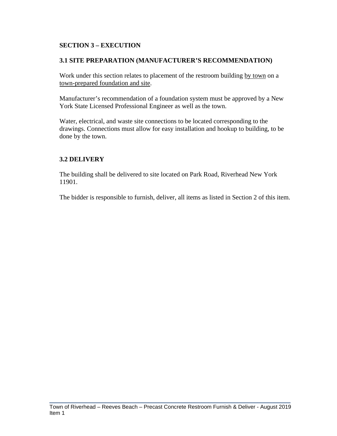## **SECTION 3 – EXECUTION**

## **3.1 SITE PREPARATION (MANUFACTURER'S RECOMMENDATION)**

Work under this section relates to placement of the restroom building by town on a town-prepared foundation and site.

Manufacturer's recommendation of a foundation system must be approved by a New York State Licensed Professional Engineer as well as the town.

Water, electrical, and waste site connections to be located corresponding to the drawings. Connections must allow for easy installation and hookup to building, to be done by the town.

## **3.2 DELIVERY**

The building shall be delivered to site located on Park Road, Riverhead New York 11901.

The bidder is responsible to furnish, deliver, all items as listed in Section 2 of this item.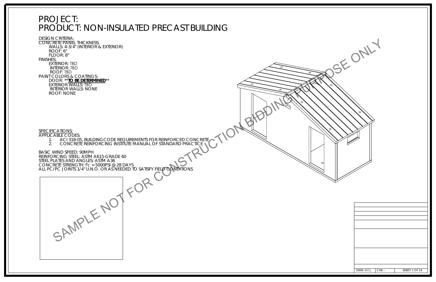## PROJECT: PRODUCT: NON-INSULATED PRECAST BUILDING

DESIGN CRITERIA: CONCRETE PANEL THICKNESS: WALLS: 4-3/4" (INTERIOR & EXTERIOR) ROOF: 6" FLOOR: 8"FINISHES: EXTERIOR: TBD INTERIOR: TBDROOF: TBD PAINT COLORS & COATINGS:DOOR: \*\*<mark>*TO BE DETERMINED*\*\*</mark><br>EXTERIOR WALLS: TBD INTERIOR WALLS: NONEROOF: NONESPECIFICATIONS:APPLICABLE CODES: 1. ACI 318-05, BUILDINGCODE REQUIREMENTS FOR REINFORCED CONCRETE 2. CONCRETE REINFORCING INSTITUTE MANUAL OF STANDARD PRACTICE BASIC WIND SPEED: 90MPHREINFORCING STEEL: ASTM A615-GRADE 60STEEL PLATES AND ANGLES: ASTM A36 CONCRETE STRENGTH: f'c = 5000PSI @ 28 DAYS ALL PC/PC JOINTS 1/4" U.N.O. OR AS NEEDED TO SATISFY FIELD CONDITIONS SAMPLE NOT FOR CONSTRUCTION BIDDING PURPOSE ONLY

| DWN: GCL | $CHK: -$ | <b>SHEET: 1 OF 14</b> |
|----------|----------|-----------------------|

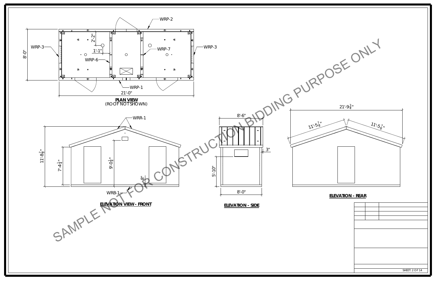

SHEET: 2 OF 14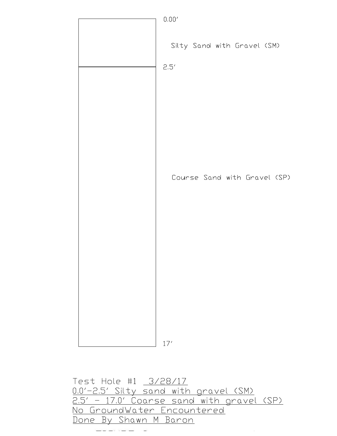

Test Hole #1 3/28/17 0.0'-2.5' Silty sand with gravel (SM) 2.5' - 17.0' Coarse sand with gravel (SP) No GroundWater Encountered Done By Shawn M Baron

 $\omega$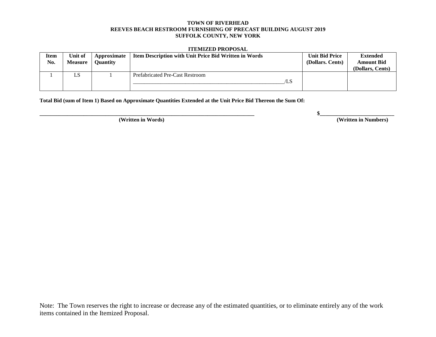#### **TOWN OF RIVERHEAD REEVES BEACH RESTROOM FURNISHING OF PRECAST BUILDING AUGUST 2019 SUFFOLK COUNTY, NEW YORK**

#### **ITEMIZED PROPOSAL**

| Item<br>No. | Unit of<br><b>Measure</b> | Approximate<br><b>Ouantity</b> | <b>Item Description with Unit Price Bid Written in Words</b> | <b>Unit Bid Price</b><br>(Dollars. Cents) | <b>Extended</b><br><b>Amount Bid</b><br>(Dollars, Cents) |
|-------------|---------------------------|--------------------------------|--------------------------------------------------------------|-------------------------------------------|----------------------------------------------------------|
|             | LS                        |                                | <b>Prefabricated Pre-Cast Restroom</b><br>⁄LS                |                                           |                                                          |

**Total Bid (sum of Item 1) Based on Approximate Quantities Extended at the Unit Price Bid Thereon the Sum Of:**

**\_\_\_\_\_\_\_\_\_\_\_\_\_\_\_\_\_\_\_\_\_\_\_\_\_\_\_\_\_\_\_\_\_\_\_\_\_\_\_\_\_\_\_\_\_\_\_\_\_\_\_\_\_\_\_\_\_\_\_\_\_\_\_\_\_\_\_\_\_\_\_\_\_\_\_\_\_\_ \$\_\_\_\_\_\_\_\_\_\_\_\_\_\_\_\_\_\_\_\_\_\_\_\_\_\_\_**

**(Written in Words) (Written in Numbers)**

Note: The Town reserves the right to increase or decrease any of the estimated quantities, or to eliminate entirely any of the work items contained in the Itemized Proposal.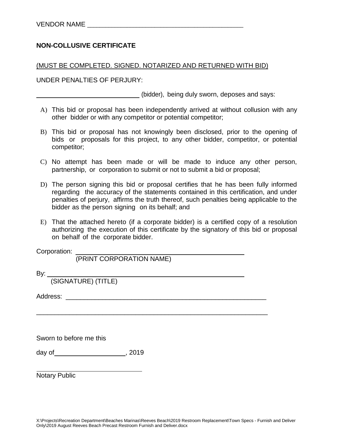## **NON-COLLUSIVE CERTIFICATE**

#### (MUST BE COMPLETED. SIGNED. NOTARIZED AND RETURNED WITH BID)

UNDER PENALTIES OF PERJURY:

(bidder), being duly sworn, deposes and says:

- A) This bid or proposal has been independently arrived at without collusion with any other bidder or with any competitor or potential competitor;
- B) This bid or proposal has not knowingly been disclosed, prior to the opening of bids or proposals for this project, to any other bidder, competitor, or potential competitor;
- C) No attempt has been made or will be made to induce any other person, partnership, or corporation to submit or not to submit a bid or proposal;
- D) The person signing this bid or proposal certifies that he has been fully informed regarding the accuracy of the statements contained in this certification, and under penalties of perjury, affirms the truth thereof, such penalties being applicable to the bidder as the person signing on its behalf; and
- E) That the attached hereto (if a corporate bidder) is a certified copy of a resolution authorizing the execution of this certificate by the signatory of this bid or proposal on behalf of the corporate bidder.

\_\_\_\_\_\_\_\_\_\_\_\_\_\_\_\_\_\_\_\_\_\_\_\_\_\_\_\_\_\_\_\_\_\_\_\_\_\_\_\_\_\_\_\_\_\_\_\_\_\_\_\_\_\_\_\_\_\_\_\_\_\_\_

Corporation:

(PRINT CORPORATION NAME)

By:

(SIGNATURE) (TITLE)

Address: \_\_\_\_\_\_\_\_\_\_\_\_\_\_\_\_\_\_\_\_\_\_\_\_\_\_\_\_\_\_\_\_\_\_\_\_\_\_\_\_\_\_\_\_\_\_\_\_\_\_\_\_\_\_\_

Sworn to before me this

day of  $\sim$  , 2019

Notary Public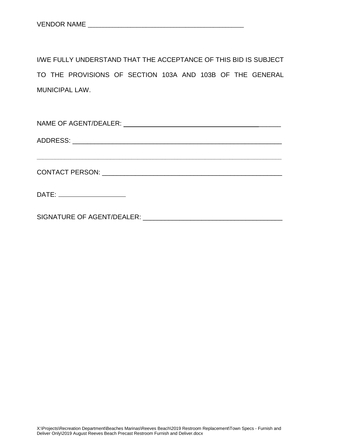I/WE FULLY UNDERSTAND THAT THE ACCEPTANCE OF THIS BID IS SUBJECT TO THE PROVISIONS OF SECTION 103A AND 103B OF THE GENERAL MUNICIPAL LAW.

| DATE: _______________________                        |  |
|------------------------------------------------------|--|
| SIGNATURE OF AGENT/DEALER: CONTRACT OF AGENT/DEALER: |  |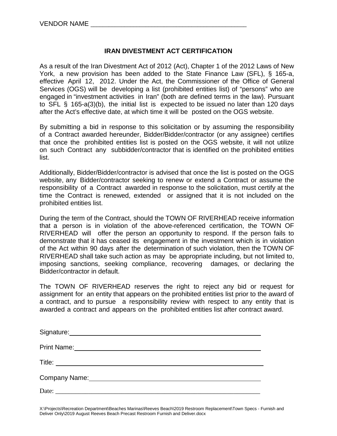## **IRAN DIVESTMENT ACT CERTIFICATION**

As a result of the Iran Divestment Act of 2012 (Act), Chapter 1 of the 2012 Laws of New York, a new provision has been added to the State Finance Law (SFL), § 165-a, effective April 12, 2012. Under the Act, the Commissioner of the Office of General Services (OGS) will be developing a list (prohibited entities list) of "persons" who are engaged in "investment activities in Iran" (both are defined terms in the law). Pursuant to SFL § 165-a(3)(b), the initial list is expected to be issued no later than 120 days after the Act's effective date, at which time it will be posted on the OGS website.

By submitting a bid in response to this solicitation or by assuming the responsibility of a Contract awarded hereunder, Bidder/Bidder/contractor (or any assignee) certifies that once the prohibited entities list is posted on the OGS website, it will not utilize on such Contract any subbidder/contractor that is identified on the prohibited entities list.

Additionally, Bidder/Bidder/contractor is advised that once the list is posted on the OGS website, any Bidder/contractor seeking to renew or extend a Contract or assume the responsibility of a Contract awarded in response to the solicitation, must certify at the time the Contract is renewed, extended or assigned that it is not included on the prohibited entities list.

During the term of the Contract, should the TOWN OF RIVERHEAD receive information that a person is in violation of the above-referenced certification, the TOWN OF RIVERHEAD will offer the person an opportunity to respond. If the person fails to demonstrate that it has ceased its engagement in the investment which is in violation of the Act within 90 days after the determination of such violation, then the TOWN OF RIVERHEAD shall take such action as may be appropriate including, but not limited to, imposing sanctions, seeking compliance, recovering damages, or declaring the Bidder/contractor in default.

The TOWN OF RIVERHEAD reserves the right to reject any bid or request for assignment for an entity that appears on the prohibited entities list prior to the award of a contract, and to pursue a responsibility review with respect to any entity that is awarded a contract and appears on the prohibited entities list after contract award.

| Signature: Management Communication of the Signature: |
|-------------------------------------------------------|
| Print Name:                                           |
| Title: ___________________________                    |
| Company Name: Company Name:                           |
| Date:                                                 |

X:\Projects\Recreation Department\Beaches Marinas\Reeves Beach\2019 Restroom Replacement\Town Specs - Furnish and Deliver Only\2019 August Reeves Beach Precast Restroom Furnish and Deliver.docx